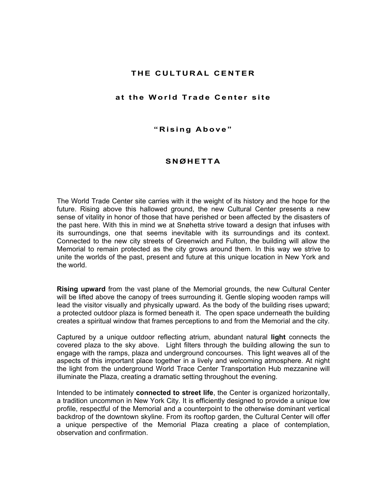## **THE CULTURAL CENTER**

## **at the World Trade Center site**

**"Rising Above"** 

## **SNØHETTA**

The World Trade Center site carries with it the weight of its history and the hope for the future. Rising above this hallowed ground, the new Cultural Center presents a new sense of vitality in honor of those that have perished or been affected by the disasters of the past here. With this in mind we at Snøhetta strive toward a design that infuses with its surroundings, one that seems inevitable with its surroundings and its context. Connected to the new city streets of Greenwich and Fulton, the building will allow the Memorial to remain protected as the city grows around them. In this way we strive to unite the worlds of the past, present and future at this unique location in New York and the world.

**Rising upward** from the vast plane of the Memorial grounds, the new Cultural Center will be lifted above the canopy of trees surrounding it. Gentle sloping wooden ramps will lead the visitor visually and physically upward. As the body of the building rises upward; a protected outdoor plaza is formed beneath it. The open space underneath the building creates a spiritual window that frames perceptions to and from the Memorial and the city.

Captured by a unique outdoor reflecting atrium, abundant natural **light** connects the covered plaza to the sky above. Light filters through the building allowing the sun to engage with the ramps, plaza and underground concourses. This light weaves all of the aspects of this important place together in a lively and welcoming atmosphere. At night the light from the underground World Trace Center Transportation Hub mezzanine will illuminate the Plaza, creating a dramatic setting throughout the evening.

Intended to be intimately **connected to street life**, the Center is organized horizontally, a tradition uncommon in New York City. It is efficiently designed to provide a unique low profile, respectful of the Memorial and a counterpoint to the otherwise dominant vertical backdrop of the downtown skyline. From its rooftop garden, the Cultural Center will offer a unique perspective of the Memorial Plaza creating a place of contemplation, observation and confirmation.